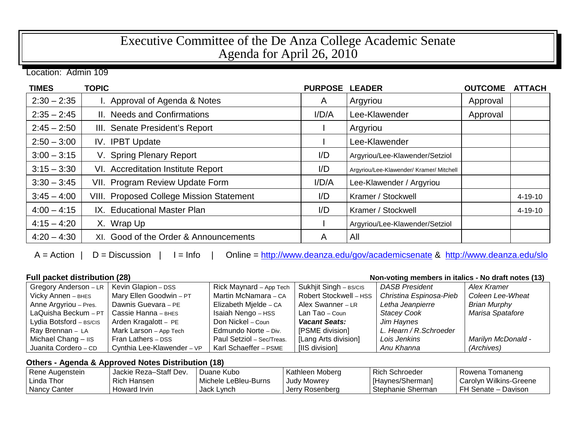## Executive Committee of the De Anza College Academic Senate Agenda for April 26, 2010

Location: Admin 109

| <b>TIMES</b>  | <b>TOPIC</b>                                    | <b>PURPOSE</b> | <b>LEADER</b>                            | <b>OUTCOME</b> | <b>ATTACH</b> |
|---------------|-------------------------------------------------|----------------|------------------------------------------|----------------|---------------|
| $2:30 - 2:35$ | I. Approval of Agenda & Notes                   | $\mathsf{A}$   | Argyriou                                 | Approval       |               |
| $2:35 - 2:45$ | II. Needs and Confirmations                     | I/D/A          | Lee-Klawender                            | Approval       |               |
| $2:45 - 2:50$ | III. Senate President's Report                  |                | Argyriou                                 |                |               |
| $2:50 - 3:00$ | IV. IPBT Update                                 |                | Lee-Klawender                            |                |               |
| $3:00 - 3:15$ | V. Spring Plenary Report                        | I/D            | Argyriou/Lee-Klawender/Setziol           |                |               |
| $3:15 - 3:30$ | VI. Accreditation Institute Report              | I/D            | Argyriou/Lee-Klawender/ Kramer/ Mitchell |                |               |
| $3:30 - 3:45$ | VII. Program Review Update Form                 | I/D/A          | Lee-Klawender / Argyriou                 |                |               |
| $3:45 - 4:00$ | <b>VIII. Proposed College Mission Statement</b> | I/D            | Kramer / Stockwell                       |                | $4 - 19 - 10$ |
| $4:00 - 4:15$ | IX. Educational Master Plan                     | I/D            | Kramer / Stockwell                       |                | 4-19-10       |
| $4:15 - 4:20$ | X. Wrap Up                                      |                | Argyriou/Lee-Klawender/Setziol           |                |               |
| $4:20 - 4:30$ | XI. Good of the Order & Announcements           | A              | All                                      |                |               |

A = Action | D = Discussion | I = Info | Online =<http://www.deanza.edu/gov/academicsenate> & <http://www.deanza.edu/slo>

| <b>Full packet distribution (28)</b><br>Non-voting members in italics - No draft notes (13) |                            |                           |                        |                         |                           |
|---------------------------------------------------------------------------------------------|----------------------------|---------------------------|------------------------|-------------------------|---------------------------|
| Gregory Anderson - LR                                                                       | Kevin Glapion - DSS        | Rick Maynard – App Tech   | Sukhjit Singh - BS/CIS | <b>DASB President</b>   | Alex Kramer               |
| Vicky Annen - BHES                                                                          | Mary Ellen Goodwin - PT    | Martin McNamara - CA      | Robert Stockwell - HSS | Christina Espinosa-Pieb | Coleen Lee-Wheat          |
| Anne Argyriou - Pres.                                                                       | Dawnis Guevara - PE        | Elizabeth Mjelde - CA     | Alex Swanner - LR      | Letha Jeanpierre        | <b>Brian Murphy</b>       |
| LaQuisha Beckum $-PT$                                                                       | Cassie Hanna - внеs        | Isaiah Nengo - HSS        | Lan Tao – Coun         | <b>Stacey Cook</b>      | Marisa Spatafore          |
| Lydia Botsford - BS/CIS                                                                     | Arden Kragalott - PE       | Don Nickel – Coun         | <b>Vacant Seats:</b>   | Jim Haynes              |                           |
| Ray Brennan - LA                                                                            | Mark Larson - App Tech     | Edmundo Norte - Div.      | [PSME division]        | L. Hearn / R. Schroeder |                           |
| Michael Chang $ \text{II}$ s                                                                | Fran Lathers - DSS         | Paul Setziol - Sec/Treas. | [Lang Arts division]   | Lois Jenkins            | <b>Marilyn McDonald -</b> |
| Juanita Cordero - CD                                                                        | Cynthia Lee-Klawender - VP | Karl Schaeffer - PSME     | [IIS division]         | Anu Khanna              | (Archives)                |

## **Others - Agenda & Approved Notes Distribution (18)**

| Rene Augenstein | Jackie Reza-Staff Dev. | Duane Kubo           | Kathleen Moberg | Rich Schroeder    | Rowena Tomaneng          |
|-----------------|------------------------|----------------------|-----------------|-------------------|--------------------------|
| l Linda Thor    | Rich Hansen            | Michele LeBleu-Burns | Judy Mowrey     | [Haynes/Sherman]  | l Carolyn Wilkins-Greene |
| Nancy Canter    | Howard Irvin           | Jack Lynch           | Jerry Rosenberg | Stephanie Sherman | l FH Senate – Davison    |